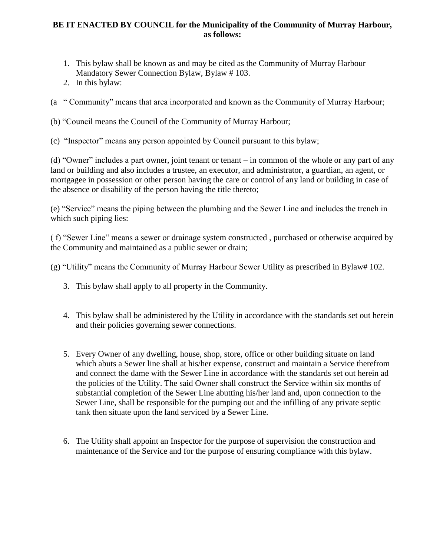## **BE IT ENACTED BY COUNCIL for the Municipality of the Community of Murray Harbour, as follows:**

- 1. This bylaw shall be known as and may be cited as the Community of Murray Harbour Mandatory Sewer Connection Bylaw, Bylaw # 103.
- 2. In this bylaw:

(a " Community" means that area incorporated and known as the Community of Murray Harbour;

(b) "Council means the Council of the Community of Murray Harbour;

(c) "Inspector" means any person appointed by Council pursuant to this bylaw;

(d) "Owner" includes a part owner, joint tenant or tenant – in common of the whole or any part of any land or building and also includes a trustee, an executor, and administrator, a guardian, an agent, or mortgagee in possession or other person having the care or control of any land or building in case of the absence or disability of the person having the title thereto;

(e) "Service" means the piping between the plumbing and the Sewer Line and includes the trench in which such piping lies:

( f) "Sewer Line" means a sewer or drainage system constructed , purchased or otherwise acquired by the Community and maintained as a public sewer or drain;

(g) "Utility" means the Community of Murray Harbour Sewer Utility as prescribed in Bylaw# 102.

- 3. This bylaw shall apply to all property in the Community.
- 4. This bylaw shall be administered by the Utility in accordance with the standards set out herein and their policies governing sewer connections.
- 5. Every Owner of any dwelling, house, shop, store, office or other building situate on land which abuts a Sewer line shall at his/her expense, construct and maintain a Service therefrom and connect the dame with the Sewer Line in accordance with the standards set out herein ad the policies of the Utility. The said Owner shall construct the Service within six months of substantial completion of the Sewer Line abutting his/her land and, upon connection to the Sewer Line, shall be responsible for the pumping out and the infilling of any private septic tank then situate upon the land serviced by a Sewer Line.
- 6. The Utility shall appoint an Inspector for the purpose of supervision the construction and maintenance of the Service and for the purpose of ensuring compliance with this bylaw.